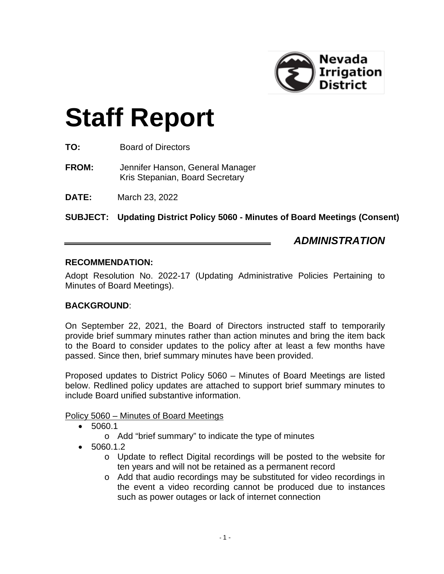

# **Staff Report**

- **TO:** Board of Directors
- **FROM:** Jennifer Hanson, General Manager Kris Stepanian, Board Secretary
- **DATE:** March 23, 2022

**SUBJECT: Updating District Policy 5060 - Minutes of Board Meetings (Consent)**

# *ADMINISTRATION*

#### **RECOMMENDATION:**

Adopt Resolution No. 2022-17 (Updating Administrative Policies Pertaining to Minutes of Board Meetings).

#### **BACKGROUND**:

On September 22, 2021, the Board of Directors instructed staff to temporarily provide brief summary minutes rather than action minutes and bring the item back to the Board to consider updates to the policy after at least a few months have passed. Since then, brief summary minutes have been provided.

Proposed updates to District Policy 5060 – Minutes of Board Meetings are listed below. Redlined policy updates are attached to support brief summary minutes to include Board unified substantive information.

#### Policy 5060 – Minutes of Board Meetings

- 5060.1
	- o Add "brief summary" to indicate the type of minutes
- 5060.1.2
	- o Update to reflect Digital recordings will be posted to the website for ten years and will not be retained as a permanent record
	- o Add that audio recordings may be substituted for video recordings in the event a video recording cannot be produced due to instances such as power outages or lack of internet connection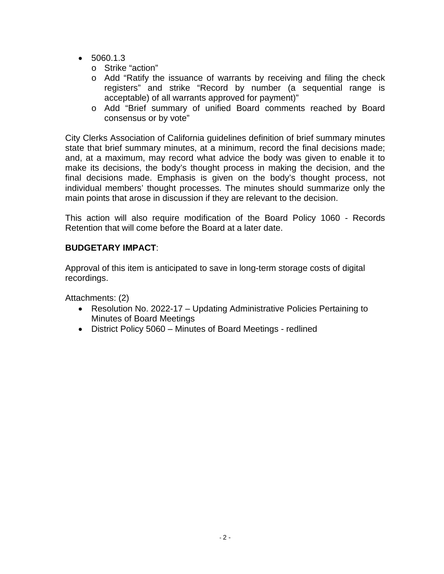- $5060.1.3$ 
	- o Strike "action"
	- o Add "Ratify the issuance of warrants by receiving and filing the check registers" and strike "Record by number (a sequential range is acceptable) of all warrants approved for payment)"
	- o Add "Brief summary of unified Board comments reached by Board consensus or by vote"

City Clerks Association of California guidelines definition of brief summary minutes state that brief summary minutes, at a minimum, record the final decisions made; and, at a maximum, may record what advice the body was given to enable it to make its decisions, the body's thought process in making the decision, and the final decisions made. Emphasis is given on the body's thought process, not individual members' thought processes. The minutes should summarize only the main points that arose in discussion if they are relevant to the decision.

This action will also require modification of the Board Policy 1060 - Records Retention that will come before the Board at a later date.

#### **BUDGETARY IMPACT**:

Approval of this item is anticipated to save in long-term storage costs of digital recordings.

Attachments: (2)

- Resolution No. 2022-17 Updating Administrative Policies Pertaining to Minutes of Board Meetings
- District Policy 5060 Minutes of Board Meetings redlined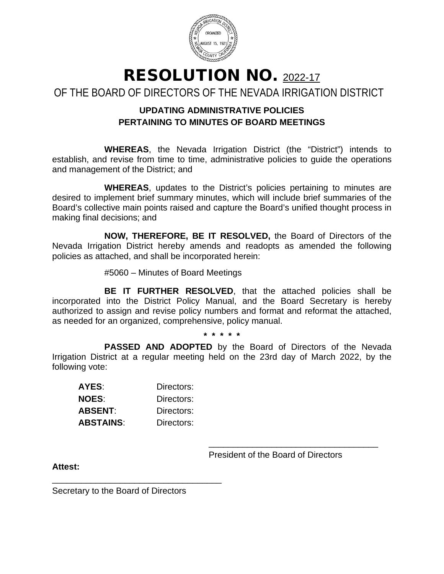

RESOLUTION NO. 2022-17 OF THE BOARD OF DIRECTORS OF THE NEVADA IRRIGATION DISTRICT

# **UPDATING ADMINISTRATIVE POLICIES PERTAINING TO MINUTES OF BOARD MEETINGS**

**WHEREAS**, the Nevada Irrigation District (the "District") intends to establish, and revise from time to time, administrative policies to guide the operations and management of the District; and

**WHEREAS**, updates to the District's policies pertaining to minutes are desired to implement brief summary minutes, which will include brief summaries of the Board's collective main points raised and capture the Board's unified thought process in making final decisions; and

**NOW, THEREFORE, BE IT RESOLVED,** the Board of Directors of the Nevada Irrigation District hereby amends and readopts as amended the following policies as attached, and shall be incorporated herein:

#5060 – Minutes of Board Meetings

**BE IT FURTHER RESOLVED**, that the attached policies shall be incorporated into the District Policy Manual, and the Board Secretary is hereby authorized to assign and revise policy numbers and format and reformat the attached, as needed for an organized, comprehensive, policy manual.

**\* \* \* \* \***

**PASSED AND ADOPTED** by the Board of Directors of the Nevada Irrigation District at a regular meeting held on the 23rd day of March 2022, by the following vote:

| AYES:        | Directors: |
|--------------|------------|
| <b>NOES:</b> | Directors: |
| ABSENT:      | Directors: |
| ABSTAINS:    | Directors: |

\_\_\_\_\_\_\_\_\_\_\_\_\_\_\_\_\_\_\_\_\_\_\_\_\_\_\_\_\_\_\_\_\_\_\_

President of the Board of Directors

\_\_\_\_\_\_\_\_\_\_\_\_\_\_\_\_\_\_\_\_\_\_\_\_\_\_\_\_\_\_\_\_\_\_\_

**Attest:**

Secretary to the Board of Directors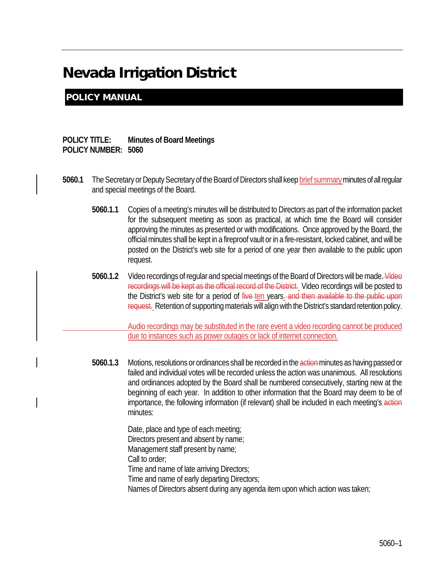# Nevada Irrigation District

### POLICY MANUAL

#### **POLICY TITLE: Minutes of Board Meetings POLICY NUMBER: 5060**

- **5060.1** The Secretary or Deputy Secretary of the Board of Directors shall keep brief summary minutes of all regular and special meetings of the Board.
	- **5060.1.1** Copies of a meeting's minutes will be distributed to Directors as part of the information packet for the subsequent meeting as soon as practical, at which time the Board will consider approving the minutes as presented or with modifications. Once approved by the Board, the official minutes shall be kept in a fireproof vault or in a fire-resistant, locked cabinet, and will be posted on the District's web site for a period of one year then available to the public upon request.
	- **5060.1.2** Video recordings of regular and special meetings of the Board of Directors will be made. Video recordings will be kept as the official record of the District. Video recordings will be posted to the District's web site for a period of five-ten years. and then available to the public upon request. Retention of supporting materials will align with the District's standard retention policy.

Audio recordings may be substituted in the rare event a video recording cannot be produced due to instances such as power outages or lack of internet connection.

**5060.1.3** Motions, resolutions or ordinances shall be recorded in the action minutes as having passed or failed and individual votes will be recorded unless the action was unanimous. All resolutions and ordinances adopted by the Board shall be numbered consecutively, starting new at the beginning of each year. In addition to other information that the Board may deem to be of importance, the following information (if relevant) shall be included in each meeting's action minutes:

> Date, place and type of each meeting; Directors present and absent by name; Management staff present by name; Call to order; Time and name of late arriving Directors; Time and name of early departing Directors; Names of Directors absent during any agenda item upon which action was taken;